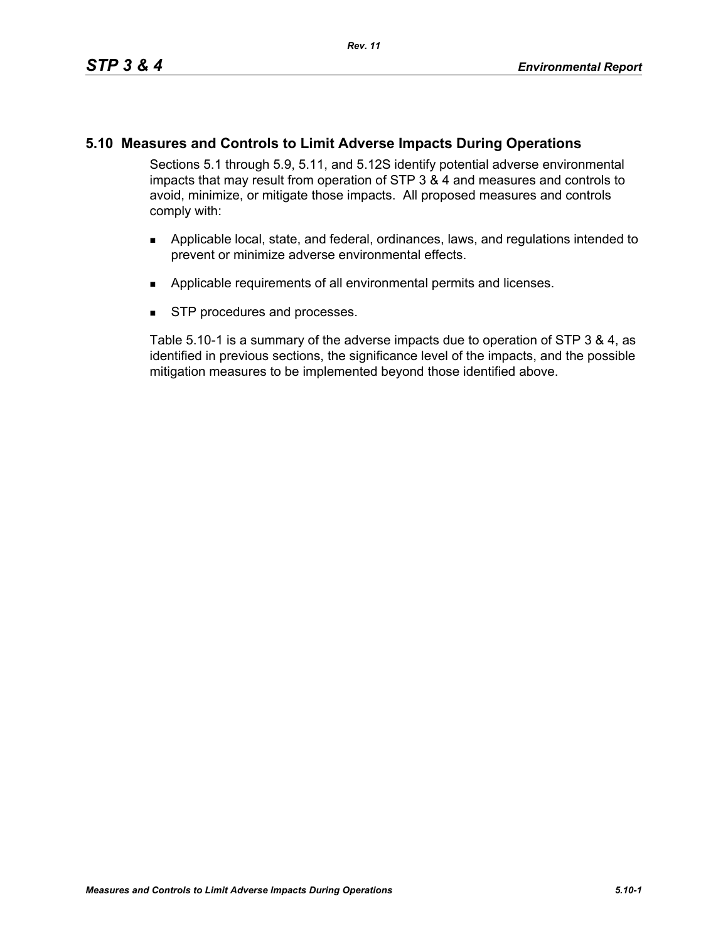# **5.10 Measures and Controls to Limit Adverse Impacts During Operations**

Sections 5.1 through 5.9, 5.11, and 5.12S identify potential adverse environmental impacts that may result from operation of STP 3 & 4 and measures and controls to avoid, minimize, or mitigate those impacts. All proposed measures and controls comply with:

- **Applicable local, state, and federal, ordinances, laws, and regulations intended to** prevent or minimize adverse environmental effects.
- **Applicable requirements of all environmental permits and licenses.**
- **STP** procedures and processes.

Table 5.10-1 is a summary of the adverse impacts due to operation of STP 3 & 4, as identified in previous sections, the significance level of the impacts, and the possible mitigation measures to be implemented beyond those identified above.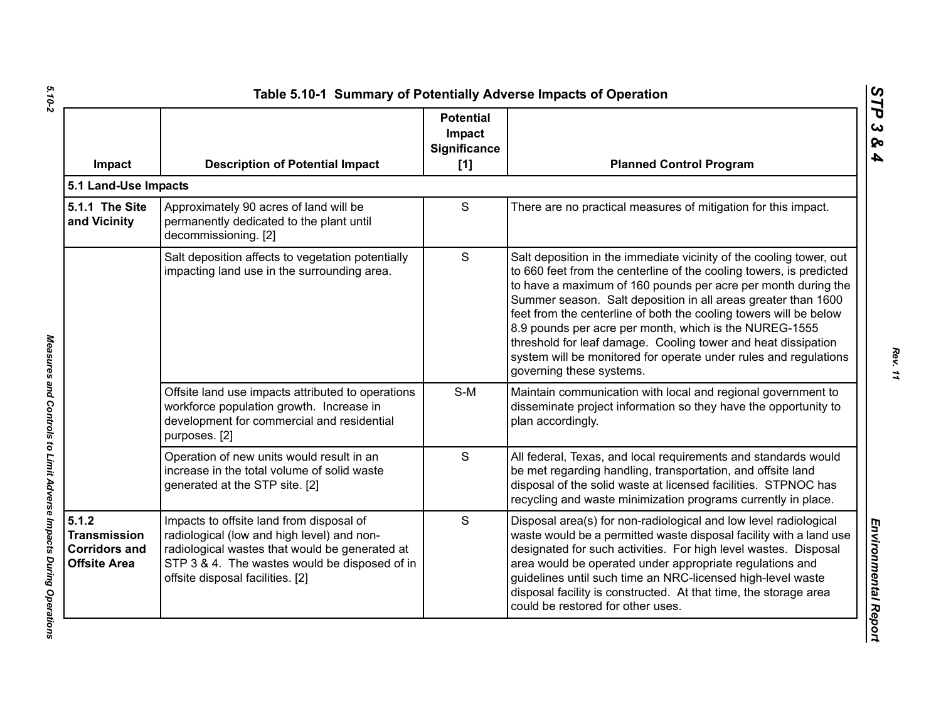| Impact                                                                      | <b>Description of Potential Impact</b>                                                                                                                                                                                        | <b>Potential</b><br>Impact<br><b>Significance</b><br>[1] | <b>Planned Control Program</b>                                                                                                                                                                                                                                                                                                                                                                                                                                                                                                                                               |
|-----------------------------------------------------------------------------|-------------------------------------------------------------------------------------------------------------------------------------------------------------------------------------------------------------------------------|----------------------------------------------------------|------------------------------------------------------------------------------------------------------------------------------------------------------------------------------------------------------------------------------------------------------------------------------------------------------------------------------------------------------------------------------------------------------------------------------------------------------------------------------------------------------------------------------------------------------------------------------|
| 5.1 Land-Use Impacts                                                        |                                                                                                                                                                                                                               |                                                          |                                                                                                                                                                                                                                                                                                                                                                                                                                                                                                                                                                              |
| 5.1.1 The Site<br>and Vicinity                                              | Approximately 90 acres of land will be<br>permanently dedicated to the plant until<br>decommissioning. [2]                                                                                                                    | $\mathsf S$                                              | There are no practical measures of mitigation for this impact.                                                                                                                                                                                                                                                                                                                                                                                                                                                                                                               |
|                                                                             | Salt deposition affects to vegetation potentially<br>impacting land use in the surrounding area.                                                                                                                              | $\mathsf{S}$                                             | Salt deposition in the immediate vicinity of the cooling tower, out<br>to 660 feet from the centerline of the cooling towers, is predicted<br>to have a maximum of 160 pounds per acre per month during the<br>Summer season. Salt deposition in all areas greater than 1600<br>feet from the centerline of both the cooling towers will be below<br>8.9 pounds per acre per month, which is the NUREG-1555<br>threshold for leaf damage. Cooling tower and heat dissipation<br>system will be monitored for operate under rules and regulations<br>governing these systems. |
|                                                                             | Offsite land use impacts attributed to operations<br>workforce population growth. Increase in<br>development for commercial and residential<br>purposes. [2]                                                                  | $S-M$                                                    | Maintain communication with local and regional government to<br>disseminate project information so they have the opportunity to<br>plan accordingly.                                                                                                                                                                                                                                                                                                                                                                                                                         |
|                                                                             | Operation of new units would result in an<br>increase in the total volume of solid waste<br>generated at the STP site. [2]                                                                                                    | $\mathsf{S}$                                             | All federal, Texas, and local requirements and standards would<br>be met regarding handling, transportation, and offsite land<br>disposal of the solid waste at licensed facilities. STPNOC has<br>recycling and waste minimization programs currently in place.                                                                                                                                                                                                                                                                                                             |
| 5.1.2<br><b>Transmission</b><br><b>Corridors and</b><br><b>Offsite Area</b> | Impacts to offsite land from disposal of<br>radiological (low and high level) and non-<br>radiological wastes that would be generated at<br>STP 3 & 4. The wastes would be disposed of in<br>offsite disposal facilities. [2] | S                                                        | Disposal area(s) for non-radiological and low level radiological<br>waste would be a permitted waste disposal facility with a land use<br>designated for such activities. For high level wastes. Disposal<br>area would be operated under appropriate regulations and<br>guidelines until such time an NRC-licensed high-level waste<br>disposal facility is constructed. At that time, the storage area<br>could be restored for other uses.                                                                                                                                |

Measures and Controls to Limit Adverse Impacts During Operations

*STP 3 & 4*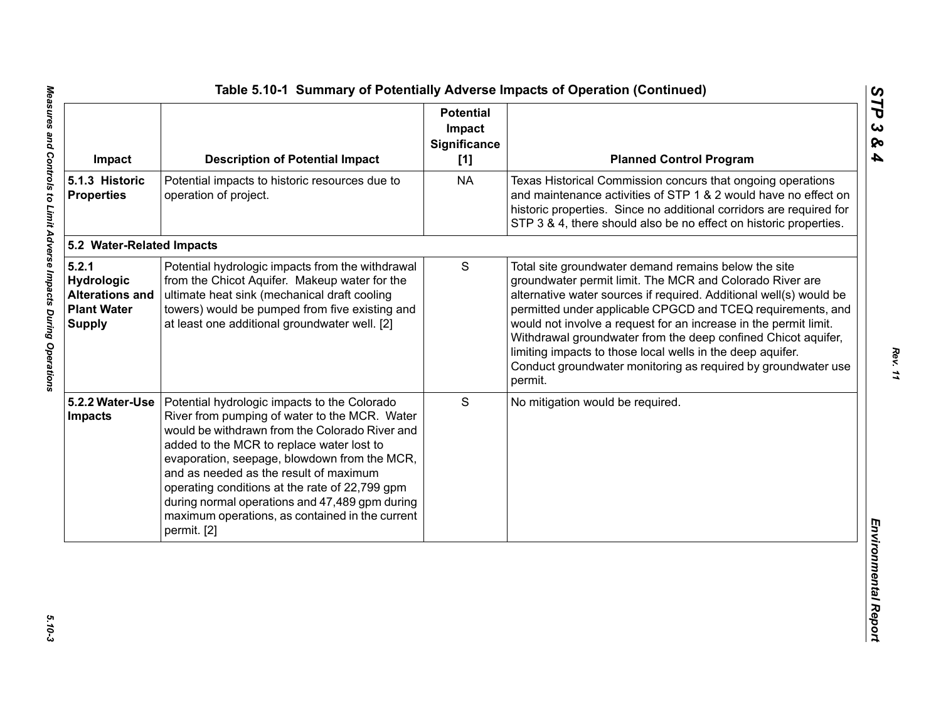| Impact                                                                               | <b>Description of Potential Impact</b>                                                                                                                                                                                                                                                                                                                                                                                                                       | <b>Potential</b><br>Impact<br>Significance<br>[1] | <b>Planned Control Program</b>                                                                                                                                                                                                                                                                                                                                                                                                                                                                                                       |
|--------------------------------------------------------------------------------------|--------------------------------------------------------------------------------------------------------------------------------------------------------------------------------------------------------------------------------------------------------------------------------------------------------------------------------------------------------------------------------------------------------------------------------------------------------------|---------------------------------------------------|--------------------------------------------------------------------------------------------------------------------------------------------------------------------------------------------------------------------------------------------------------------------------------------------------------------------------------------------------------------------------------------------------------------------------------------------------------------------------------------------------------------------------------------|
| 5.1.3 Historic<br><b>Properties</b>                                                  | Potential impacts to historic resources due to<br>operation of project.                                                                                                                                                                                                                                                                                                                                                                                      | <b>NA</b>                                         | Texas Historical Commission concurs that ongoing operations<br>and maintenance activities of STP 1 & 2 would have no effect on<br>historic properties. Since no additional corridors are required for<br>STP 3 & 4, there should also be no effect on historic properties.                                                                                                                                                                                                                                                           |
| 5.2 Water-Related Impacts                                                            |                                                                                                                                                                                                                                                                                                                                                                                                                                                              |                                                   |                                                                                                                                                                                                                                                                                                                                                                                                                                                                                                                                      |
| 5.2.1<br>Hydrologic<br><b>Alterations and</b><br><b>Plant Water</b><br><b>Supply</b> | Potential hydrologic impacts from the withdrawal<br>from the Chicot Aquifer. Makeup water for the<br>ultimate heat sink (mechanical draft cooling<br>towers) would be pumped from five existing and<br>at least one additional groundwater well. [2]                                                                                                                                                                                                         | S                                                 | Total site groundwater demand remains below the site<br>groundwater permit limit. The MCR and Colorado River are<br>alternative water sources if required. Additional well(s) would be<br>permitted under applicable CPGCD and TCEQ requirements, and<br>would not involve a request for an increase in the permit limit.<br>Withdrawal groundwater from the deep confined Chicot aquifer,<br>limiting impacts to those local wells in the deep aquifer.<br>Conduct groundwater monitoring as required by groundwater use<br>permit. |
| 5.2.2 Water-Use<br>Impacts                                                           | Potential hydrologic impacts to the Colorado<br>River from pumping of water to the MCR. Water<br>would be withdrawn from the Colorado River and<br>added to the MCR to replace water lost to<br>evaporation, seepage, blowdown from the MCR,<br>and as needed as the result of maximum<br>operating conditions at the rate of 22,799 gpm<br>during normal operations and 47,489 gpm during<br>maximum operations, as contained in the current<br>permit. [2] | S                                                 | No mitigation would be required.                                                                                                                                                                                                                                                                                                                                                                                                                                                                                                     |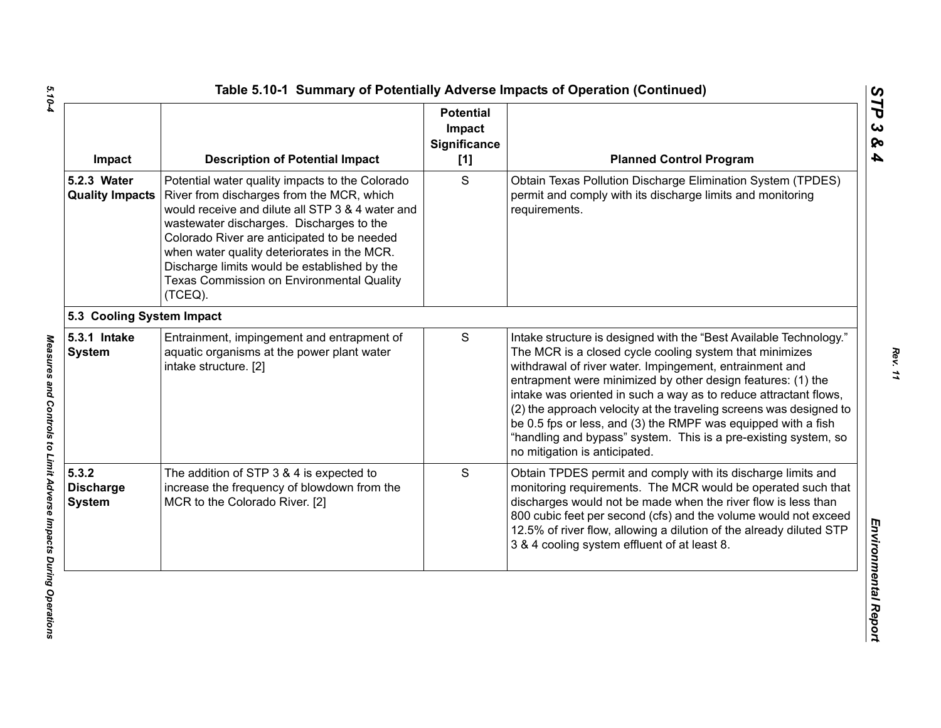| Impact                                     | <b>Description of Potential Impact</b>                                                                                                                                                                                                                                                                                                                                                             | <b>Potential</b><br>Impact<br>Significance<br>$[1]$ | <b>Planned Control Program</b>                                                                                                                                                                                                                                                                                                                                                                                                                                                                                                                                         |
|--------------------------------------------|----------------------------------------------------------------------------------------------------------------------------------------------------------------------------------------------------------------------------------------------------------------------------------------------------------------------------------------------------------------------------------------------------|-----------------------------------------------------|------------------------------------------------------------------------------------------------------------------------------------------------------------------------------------------------------------------------------------------------------------------------------------------------------------------------------------------------------------------------------------------------------------------------------------------------------------------------------------------------------------------------------------------------------------------------|
| 5.2.3 Water<br><b>Quality Impacts</b>      | Potential water quality impacts to the Colorado<br>River from discharges from the MCR, which<br>would receive and dilute all STP 3 & 4 water and<br>wastewater discharges. Discharges to the<br>Colorado River are anticipated to be needed<br>when water quality deteriorates in the MCR.<br>Discharge limits would be established by the<br>Texas Commission on Environmental Quality<br>(TCEQ). | S                                                   | Obtain Texas Pollution Discharge Elimination System (TPDES)<br>permit and comply with its discharge limits and monitoring<br>requirements.                                                                                                                                                                                                                                                                                                                                                                                                                             |
| 5.3 Cooling System Impact                  |                                                                                                                                                                                                                                                                                                                                                                                                    |                                                     |                                                                                                                                                                                                                                                                                                                                                                                                                                                                                                                                                                        |
| 5.3.1 Intake<br><b>System</b>              | Entrainment, impingement and entrapment of<br>aquatic organisms at the power plant water<br>intake structure. [2]                                                                                                                                                                                                                                                                                  | S                                                   | Intake structure is designed with the "Best Available Technology."<br>The MCR is a closed cycle cooling system that minimizes<br>withdrawal of river water. Impingement, entrainment and<br>entrapment were minimized by other design features: (1) the<br>intake was oriented in such a way as to reduce attractant flows,<br>(2) the approach velocity at the traveling screens was designed to<br>be 0.5 fps or less, and (3) the RMPF was equipped with a fish<br>"handling and bypass" system. This is a pre-existing system, so<br>no mitigation is anticipated. |
| 5.3.2<br><b>Discharge</b><br><b>System</b> | The addition of STP 3 & 4 is expected to<br>increase the frequency of blowdown from the<br>MCR to the Colorado River. [2]                                                                                                                                                                                                                                                                          | S                                                   | Obtain TPDES permit and comply with its discharge limits and<br>monitoring requirements. The MCR would be operated such that<br>discharges would not be made when the river flow is less than<br>800 cubic feet per second (cfs) and the volume would not exceed<br>12.5% of river flow, allowing a dilution of the already diluted STP<br>3 & 4 cooling system effluent of at least 8.                                                                                                                                                                                |

*STP 3 & 4*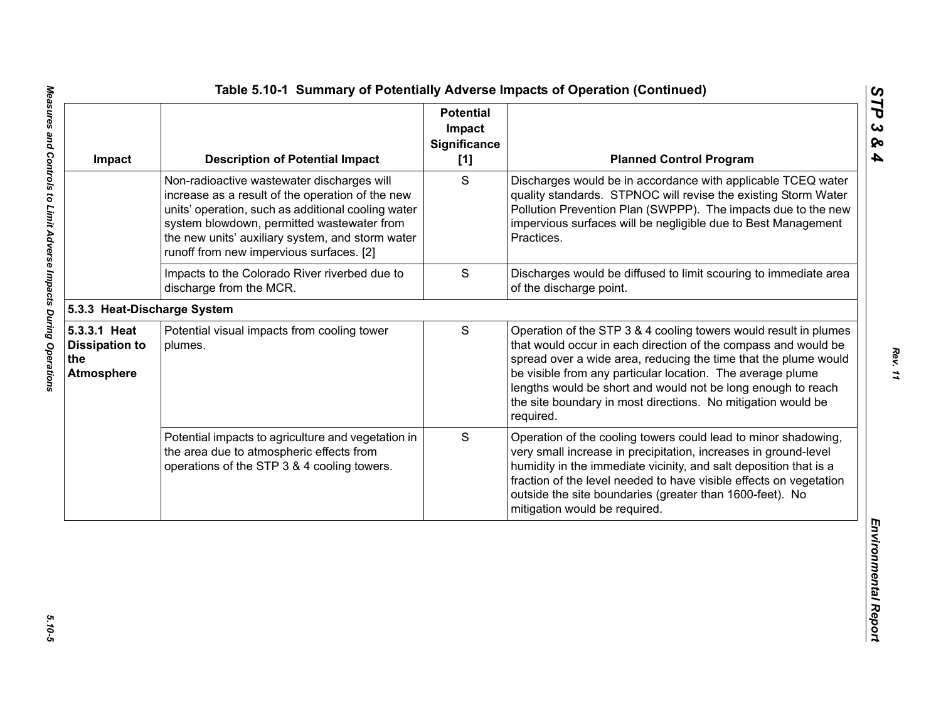| Impact                                                            | <b>Description of Potential Impact</b>                                                                                                                                                                                                                                                             | <b>Potential</b><br>Impact<br>Significance<br>[1] | <b>Planned Control Program</b>                                                                                                                                                                                                                                                                                                                                                                                   |
|-------------------------------------------------------------------|----------------------------------------------------------------------------------------------------------------------------------------------------------------------------------------------------------------------------------------------------------------------------------------------------|---------------------------------------------------|------------------------------------------------------------------------------------------------------------------------------------------------------------------------------------------------------------------------------------------------------------------------------------------------------------------------------------------------------------------------------------------------------------------|
|                                                                   | Non-radioactive wastewater discharges will<br>increase as a result of the operation of the new<br>units' operation, such as additional cooling water<br>system blowdown, permitted wastewater from<br>the new units' auxiliary system, and storm water<br>runoff from new impervious surfaces. [2] | S                                                 | Discharges would be in accordance with applicable TCEQ water<br>quality standards. STPNOC will revise the existing Storm Water<br>Pollution Prevention Plan (SWPPP). The impacts due to the new<br>impervious surfaces will be negligible due to Best Management<br>Practices.                                                                                                                                   |
|                                                                   | Impacts to the Colorado River riverbed due to<br>discharge from the MCR.                                                                                                                                                                                                                           | S                                                 | Discharges would be diffused to limit scouring to immediate area<br>of the discharge point.                                                                                                                                                                                                                                                                                                                      |
| 5.3.3 Heat-Discharge System                                       |                                                                                                                                                                                                                                                                                                    |                                                   |                                                                                                                                                                                                                                                                                                                                                                                                                  |
| 5.3.3.1 Heat<br><b>Dissipation to</b><br>the<br><b>Atmosphere</b> | Potential visual impacts from cooling tower<br>plumes.                                                                                                                                                                                                                                             | S                                                 | Operation of the STP 3 & 4 cooling towers would result in plumes<br>that would occur in each direction of the compass and would be<br>spread over a wide area, reducing the time that the plume would<br>be visible from any particular location. The average plume<br>lengths would be short and would not be long enough to reach<br>the site boundary in most directions. No mitigation would be<br>required. |
|                                                                   | Potential impacts to agriculture and vegetation in<br>the area due to atmospheric effects from<br>operations of the STP 3 & 4 cooling towers.                                                                                                                                                      | S                                                 | Operation of the cooling towers could lead to minor shadowing,<br>very small increase in precipitation, increases in ground-level<br>humidity in the immediate vicinity, and salt deposition that is a<br>fraction of the level needed to have visible effects on vegetation<br>outside the site boundaries (greater than 1600-feet). No<br>mitigation would be required.                                        |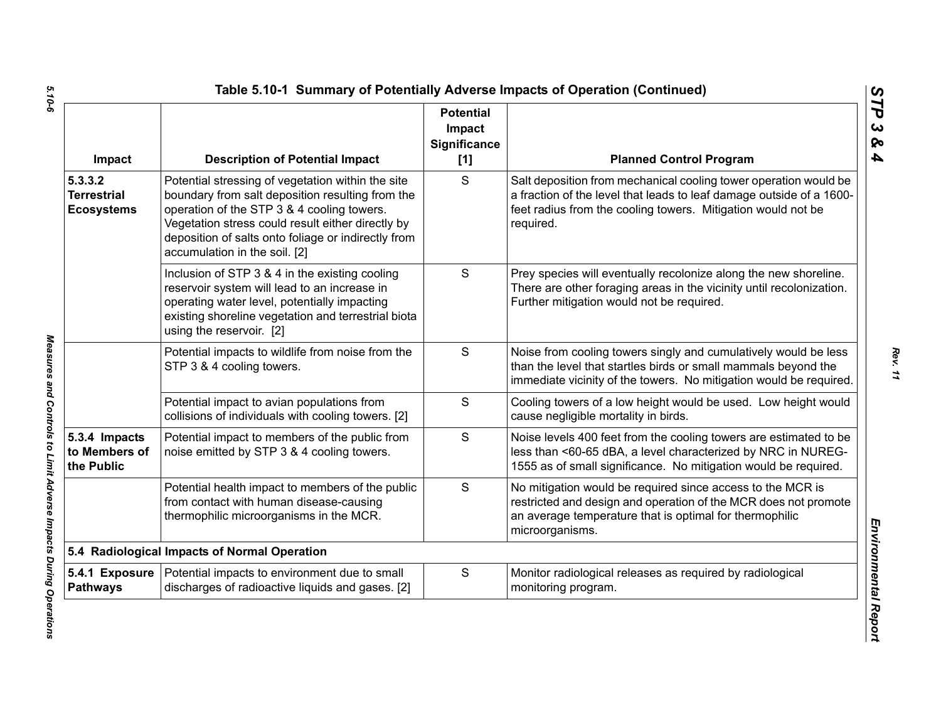| Impact                                             | <b>Description of Potential Impact</b>                                                                                                                                                                                                                                                           | <b>Potential</b><br>Impact<br><b>Significance</b><br>[1] | <b>Planned Control Program</b>                                                                                                                                                                                        |
|----------------------------------------------------|--------------------------------------------------------------------------------------------------------------------------------------------------------------------------------------------------------------------------------------------------------------------------------------------------|----------------------------------------------------------|-----------------------------------------------------------------------------------------------------------------------------------------------------------------------------------------------------------------------|
| 5.3.3.2<br><b>Terrestrial</b><br><b>Ecosystems</b> | Potential stressing of vegetation within the site<br>boundary from salt deposition resulting from the<br>operation of the STP 3 & 4 cooling towers.<br>Vegetation stress could result either directly by<br>deposition of salts onto foliage or indirectly from<br>accumulation in the soil. [2] | S                                                        | Salt deposition from mechanical cooling tower operation would be<br>a fraction of the level that leads to leaf damage outside of a 1600-<br>feet radius from the cooling towers. Mitigation would not be<br>required. |
|                                                    | Inclusion of STP 3 & 4 in the existing cooling<br>reservoir system will lead to an increase in<br>operating water level, potentially impacting<br>existing shoreline vegetation and terrestrial biota<br>using the reservoir. [2]                                                                | S                                                        | Prey species will eventually recolonize along the new shoreline.<br>There are other foraging areas in the vicinity until recolonization.<br>Further mitigation would not be required.                                 |
|                                                    | Potential impacts to wildlife from noise from the<br>STP 3 & 4 cooling towers.                                                                                                                                                                                                                   | S                                                        | Noise from cooling towers singly and cumulatively would be less<br>than the level that startles birds or small mammals beyond the<br>immediate vicinity of the towers. No mitigation would be required.               |
|                                                    | Potential impact to avian populations from<br>collisions of individuals with cooling towers. [2]                                                                                                                                                                                                 | S                                                        | Cooling towers of a low height would be used. Low height would<br>cause negligible mortality in birds.                                                                                                                |
| 5.3.4 Impacts<br>to Members of<br>the Public       | Potential impact to members of the public from<br>noise emitted by STP 3 & 4 cooling towers.                                                                                                                                                                                                     | S                                                        | Noise levels 400 feet from the cooling towers are estimated to be<br>less than <60-65 dBA, a level characterized by NRC in NUREG-<br>1555 as of small significance. No mitigation would be required.                  |
|                                                    | Potential health impact to members of the public<br>from contact with human disease-causing<br>thermophilic microorganisms in the MCR.                                                                                                                                                           | S                                                        | No mitigation would be required since access to the MCR is<br>restricted and design and operation of the MCR does not promote<br>an average temperature that is optimal for thermophilic<br>microorganisms.           |
|                                                    | 5.4 Radiological Impacts of Normal Operation                                                                                                                                                                                                                                                     |                                                          |                                                                                                                                                                                                                       |
| <b>Pathways</b>                                    | 5.4.1 Exposure   Potential impacts to environment due to small<br>discharges of radioactive liquids and gases. [2]                                                                                                                                                                               | S                                                        | Monitor radiological releases as required by radiological<br>monitoring program.                                                                                                                                      |

Measures and Controls to Limit Adverse Impacts During Operations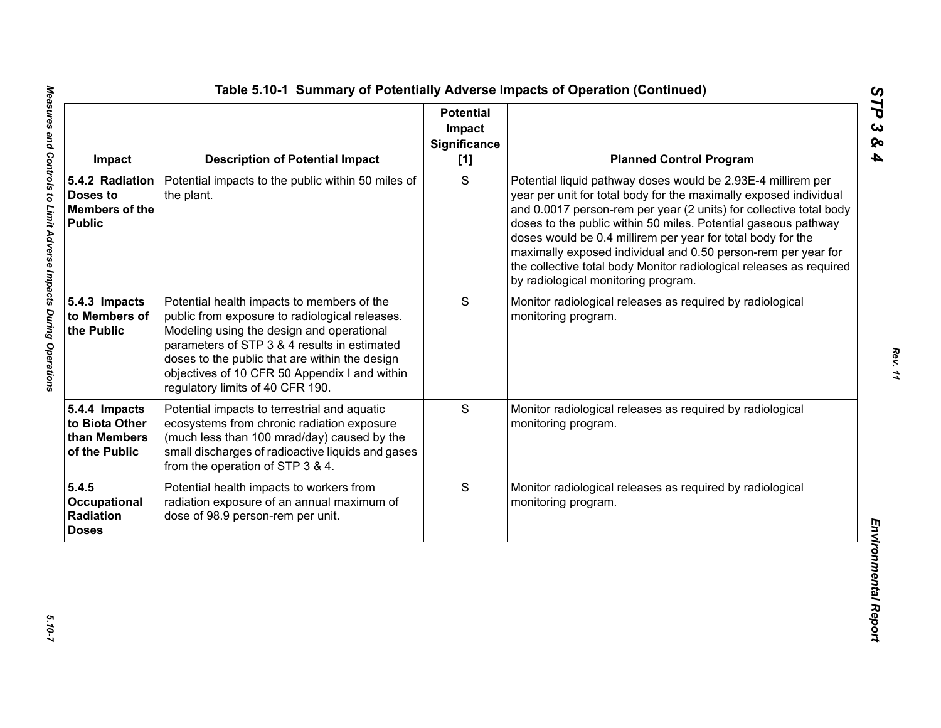| Impact                                                                | <b>Description of Potential Impact</b>                                                                                                                                                                                                                                                                                           | <b>Potential</b><br>Impact<br>Significance<br>[1] | <b>Planned Control Program</b>                                                                                                                                                                                                                                                                                                                                                                                                                                                                                          |
|-----------------------------------------------------------------------|----------------------------------------------------------------------------------------------------------------------------------------------------------------------------------------------------------------------------------------------------------------------------------------------------------------------------------|---------------------------------------------------|-------------------------------------------------------------------------------------------------------------------------------------------------------------------------------------------------------------------------------------------------------------------------------------------------------------------------------------------------------------------------------------------------------------------------------------------------------------------------------------------------------------------------|
| 5.4.2 Radiation<br>Doses to<br><b>Members of the</b><br><b>Public</b> | Potential impacts to the public within 50 miles of<br>the plant.                                                                                                                                                                                                                                                                 | S                                                 | Potential liquid pathway doses would be 2.93E-4 millirem per<br>year per unit for total body for the maximally exposed individual<br>and 0.0017 person-rem per year (2 units) for collective total body<br>doses to the public within 50 miles. Potential gaseous pathway<br>doses would be 0.4 millirem per year for total body for the<br>maximally exposed individual and 0.50 person-rem per year for<br>the collective total body Monitor radiological releases as required<br>by radiological monitoring program. |
| 5.4.3 Impacts<br>to Members of<br>the Public                          | Potential health impacts to members of the<br>public from exposure to radiological releases.<br>Modeling using the design and operational<br>parameters of STP 3 & 4 results in estimated<br>doses to the public that are within the design<br>objectives of 10 CFR 50 Appendix I and within<br>regulatory limits of 40 CFR 190. | S                                                 | Monitor radiological releases as required by radiological<br>monitoring program.                                                                                                                                                                                                                                                                                                                                                                                                                                        |
| 5.4.4 Impacts<br>to Biota Other<br>than Members<br>of the Public      | Potential impacts to terrestrial and aquatic<br>ecosystems from chronic radiation exposure<br>(much less than 100 mrad/day) caused by the<br>small discharges of radioactive liquids and gases<br>from the operation of STP 3 & 4.                                                                                               | S                                                 | Monitor radiological releases as required by radiological<br>monitoring program.                                                                                                                                                                                                                                                                                                                                                                                                                                        |
| 5.4.5<br>Occupational<br>Radiation<br><b>Doses</b>                    | Potential health impacts to workers from<br>radiation exposure of an annual maximum of<br>dose of 98.9 person-rem per unit.                                                                                                                                                                                                      | S                                                 | Monitor radiological releases as required by radiological<br>monitoring program.                                                                                                                                                                                                                                                                                                                                                                                                                                        |

*STP 3 & 4*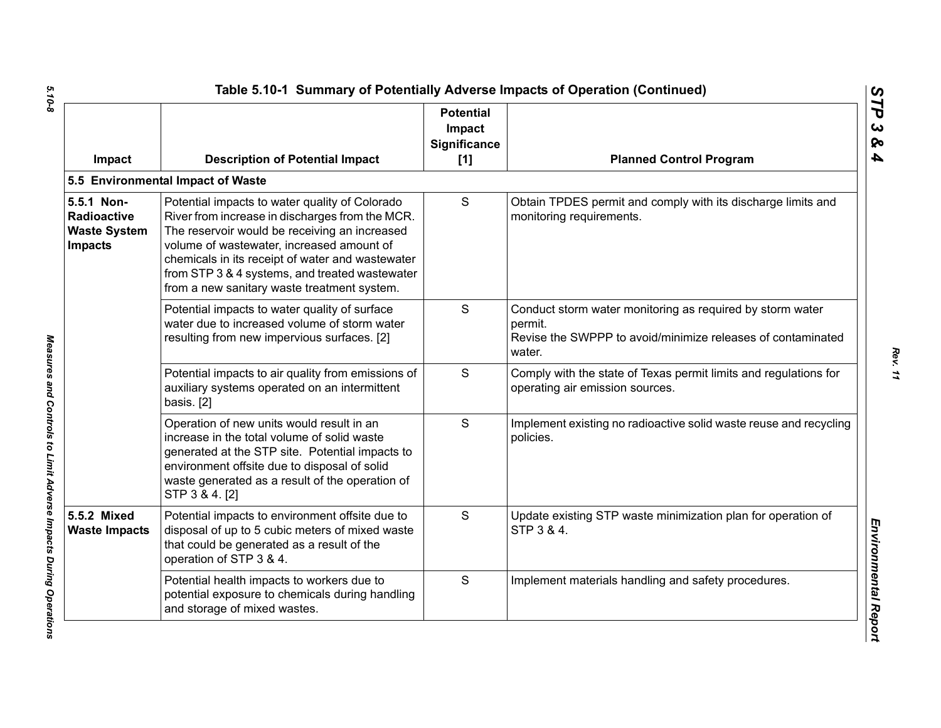| Impact                                                                    | <b>Description of Potential Impact</b>                                                                                                                                                                                                                                                                                                               | <b>Potential</b><br>Impact<br>Significance<br>[1] | <b>Planned Control Program</b>                                                                                                                |
|---------------------------------------------------------------------------|------------------------------------------------------------------------------------------------------------------------------------------------------------------------------------------------------------------------------------------------------------------------------------------------------------------------------------------------------|---------------------------------------------------|-----------------------------------------------------------------------------------------------------------------------------------------------|
|                                                                           | 5.5 Environmental Impact of Waste                                                                                                                                                                                                                                                                                                                    |                                                   |                                                                                                                                               |
| 5.5.1 Non-<br><b>Radioactive</b><br><b>Waste System</b><br><b>Impacts</b> | Potential impacts to water quality of Colorado<br>River from increase in discharges from the MCR.<br>The reservoir would be receiving an increased<br>volume of wastewater, increased amount of<br>chemicals in its receipt of water and wastewater<br>from STP 3 & 4 systems, and treated wastewater<br>from a new sanitary waste treatment system. | S                                                 | Obtain TPDES permit and comply with its discharge limits and<br>monitoring requirements.                                                      |
|                                                                           | Potential impacts to water quality of surface<br>water due to increased volume of storm water<br>resulting from new impervious surfaces. [2]                                                                                                                                                                                                         | S                                                 | Conduct storm water monitoring as required by storm water<br>permit.<br>Revise the SWPPP to avoid/minimize releases of contaminated<br>water. |
|                                                                           | Potential impacts to air quality from emissions of<br>auxiliary systems operated on an intermittent<br>basis. [2]                                                                                                                                                                                                                                    | S                                                 | Comply with the state of Texas permit limits and regulations for<br>operating air emission sources.                                           |
|                                                                           | Operation of new units would result in an<br>increase in the total volume of solid waste<br>generated at the STP site. Potential impacts to<br>environment offsite due to disposal of solid<br>waste generated as a result of the operation of<br>STP 3 & 4. [2]                                                                                     | S                                                 | Implement existing no radioactive solid waste reuse and recycling<br>policies.                                                                |
| 5.5.2 Mixed<br><b>Waste Impacts</b>                                       | Potential impacts to environment offsite due to<br>disposal of up to 5 cubic meters of mixed waste<br>that could be generated as a result of the<br>operation of STP 3 & 4.                                                                                                                                                                          | S                                                 | Update existing STP waste minimization plan for operation of<br>STP 3 & 4.                                                                    |
|                                                                           | Potential health impacts to workers due to<br>potential exposure to chemicals during handling<br>and storage of mixed wastes.                                                                                                                                                                                                                        | S                                                 | Implement materials handling and safety procedures.                                                                                           |

 $5.10 - 8$ *5.10-8 Measures and Controls to Limit Adverse Impacts During Operations* 

Measures and Controls to Limit Adverse Impacts During Operations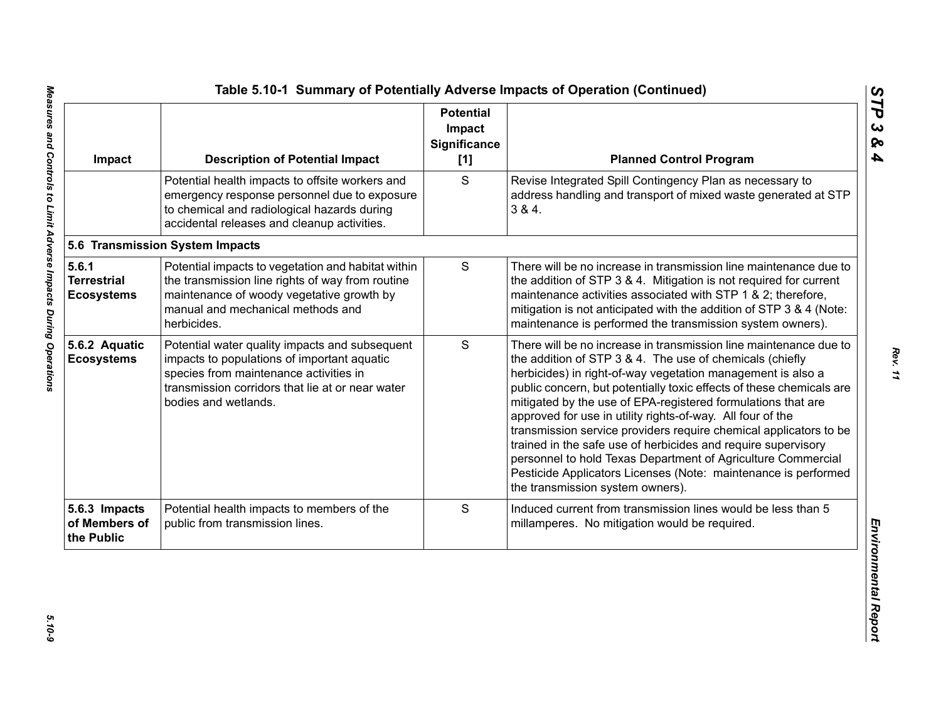| Impact                                           | <b>Description of Potential Impact</b>                                                                                                                                                                              | <b>Potential</b><br>Impact<br><b>Significance</b><br>[1] | <b>Planned Control Program</b>                                                                                                                                                                                                                                                                                                                                                                                                                                                                                                                                                                                                                                                                                 |
|--------------------------------------------------|---------------------------------------------------------------------------------------------------------------------------------------------------------------------------------------------------------------------|----------------------------------------------------------|----------------------------------------------------------------------------------------------------------------------------------------------------------------------------------------------------------------------------------------------------------------------------------------------------------------------------------------------------------------------------------------------------------------------------------------------------------------------------------------------------------------------------------------------------------------------------------------------------------------------------------------------------------------------------------------------------------------|
|                                                  | Potential health impacts to offsite workers and<br>emergency response personnel due to exposure<br>to chemical and radiological hazards during<br>accidental releases and cleanup activities.                       | S                                                        | Revise Integrated Spill Contingency Plan as necessary to<br>address handling and transport of mixed waste generated at STP<br>384.                                                                                                                                                                                                                                                                                                                                                                                                                                                                                                                                                                             |
|                                                  | 5.6 Transmission System Impacts                                                                                                                                                                                     |                                                          |                                                                                                                                                                                                                                                                                                                                                                                                                                                                                                                                                                                                                                                                                                                |
| 5.6.1<br><b>Terrestrial</b><br><b>Ecosystems</b> | Potential impacts to vegetation and habitat within<br>the transmission line rights of way from routine<br>maintenance of woody vegetative growth by<br>manual and mechanical methods and<br>herbicides.             | $\mathsf S$                                              | There will be no increase in transmission line maintenance due to<br>the addition of STP 3 & 4. Mitigation is not required for current<br>maintenance activities associated with STP 1 & 2; therefore,<br>mitigation is not anticipated with the addition of STP 3 & 4 (Note:<br>maintenance is performed the transmission system owners).                                                                                                                                                                                                                                                                                                                                                                     |
| 5.6.2 Aquatic<br><b>Ecosystems</b>               | Potential water quality impacts and subsequent<br>impacts to populations of important aquatic<br>species from maintenance activities in<br>transmission corridors that lie at or near water<br>bodies and wetlands. | S                                                        | There will be no increase in transmission line maintenance due to<br>the addition of STP 3 & 4. The use of chemicals (chiefly<br>herbicides) in right-of-way vegetation management is also a<br>public concern, but potentially toxic effects of these chemicals are<br>mitigated by the use of EPA-registered formulations that are<br>approved for use in utility rights-of-way. All four of the<br>transmission service providers require chemical applicators to be<br>trained in the safe use of herbicides and require supervisory<br>personnel to hold Texas Department of Agriculture Commercial<br>Pesticide Applicators Licenses (Note: maintenance is performed<br>the transmission system owners). |
| 5.6.3 Impacts<br>of Members of<br>the Public     | Potential health impacts to members of the<br>public from transmission lines.                                                                                                                                       | S                                                        | Induced current from transmission lines would be less than 5<br>millamperes. No mitigation would be required.                                                                                                                                                                                                                                                                                                                                                                                                                                                                                                                                                                                                  |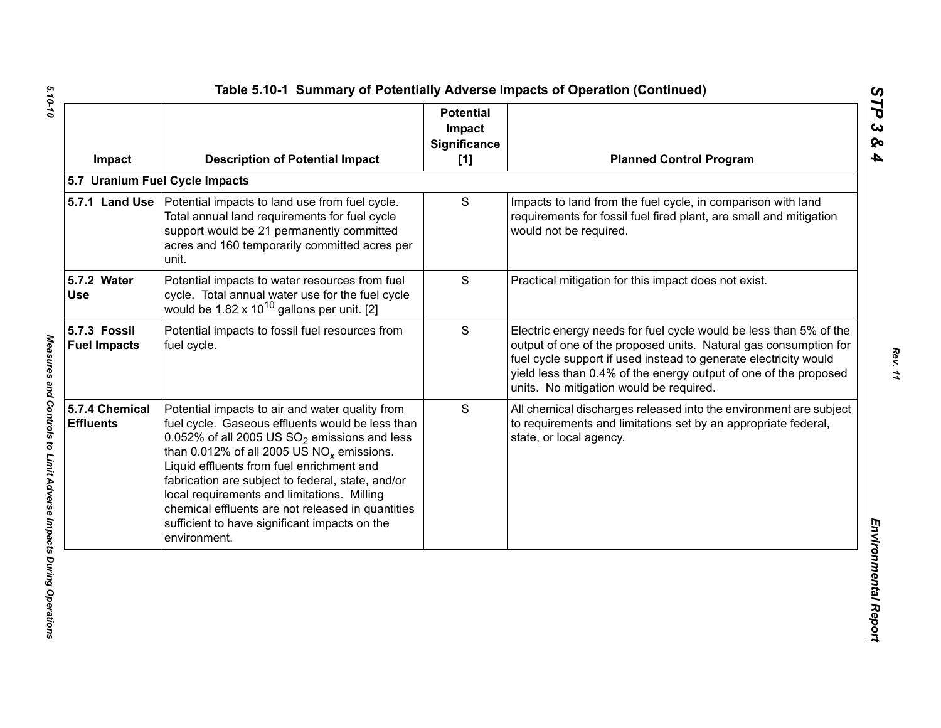| Impact                              | <b>Description of Potential Impact</b>                                                                                                                                                                                                                                                                                                                                                                                                                                                 | <b>Potential</b><br>Impact<br><b>Significance</b><br>[1] | <b>Planned Control Program</b>                                                                                                                                                                                                                                                                                           |
|-------------------------------------|----------------------------------------------------------------------------------------------------------------------------------------------------------------------------------------------------------------------------------------------------------------------------------------------------------------------------------------------------------------------------------------------------------------------------------------------------------------------------------------|----------------------------------------------------------|--------------------------------------------------------------------------------------------------------------------------------------------------------------------------------------------------------------------------------------------------------------------------------------------------------------------------|
|                                     | 5.7 Uranium Fuel Cycle Impacts                                                                                                                                                                                                                                                                                                                                                                                                                                                         |                                                          |                                                                                                                                                                                                                                                                                                                          |
|                                     | 5.7.1 Land Use   Potential impacts to land use from fuel cycle.<br>Total annual land requirements for fuel cycle<br>support would be 21 permanently committed<br>acres and 160 temporarily committed acres per<br>unit.                                                                                                                                                                                                                                                                | S                                                        | Impacts to land from the fuel cycle, in comparison with land<br>requirements for fossil fuel fired plant, are small and mitigation<br>would not be required.                                                                                                                                                             |
| 5.7.2 Water<br><b>Use</b>           | Potential impacts to water resources from fuel<br>cycle. Total annual water use for the fuel cycle<br>would be $1.82 \times 10^{10}$ gallons per unit. [2]                                                                                                                                                                                                                                                                                                                             | S                                                        | Practical mitigation for this impact does not exist.                                                                                                                                                                                                                                                                     |
| 5.7.3 Fossil<br><b>Fuel Impacts</b> | Potential impacts to fossil fuel resources from<br>fuel cycle.                                                                                                                                                                                                                                                                                                                                                                                                                         | S                                                        | Electric energy needs for fuel cycle would be less than 5% of the<br>output of one of the proposed units. Natural gas consumption for<br>fuel cycle support if used instead to generate electricity would<br>yield less than 0.4% of the energy output of one of the proposed<br>units. No mitigation would be required. |
| 5.7.4 Chemical<br><b>Effluents</b>  | Potential impacts to air and water quality from<br>fuel cycle. Gaseous effluents would be less than<br>0.052% of all 2005 US $SO_2$ emissions and less<br>than 0.012% of all 2005 US NO <sub>x</sub> emissions.<br>Liquid effluents from fuel enrichment and<br>fabrication are subject to federal, state, and/or<br>local requirements and limitations. Milling<br>chemical effluents are not released in quantities<br>sufficient to have significant impacts on the<br>environment. | S                                                        | All chemical discharges released into the environment are subject<br>to requirements and limitations set by an appropriate federal,<br>state, or local agency.                                                                                                                                                           |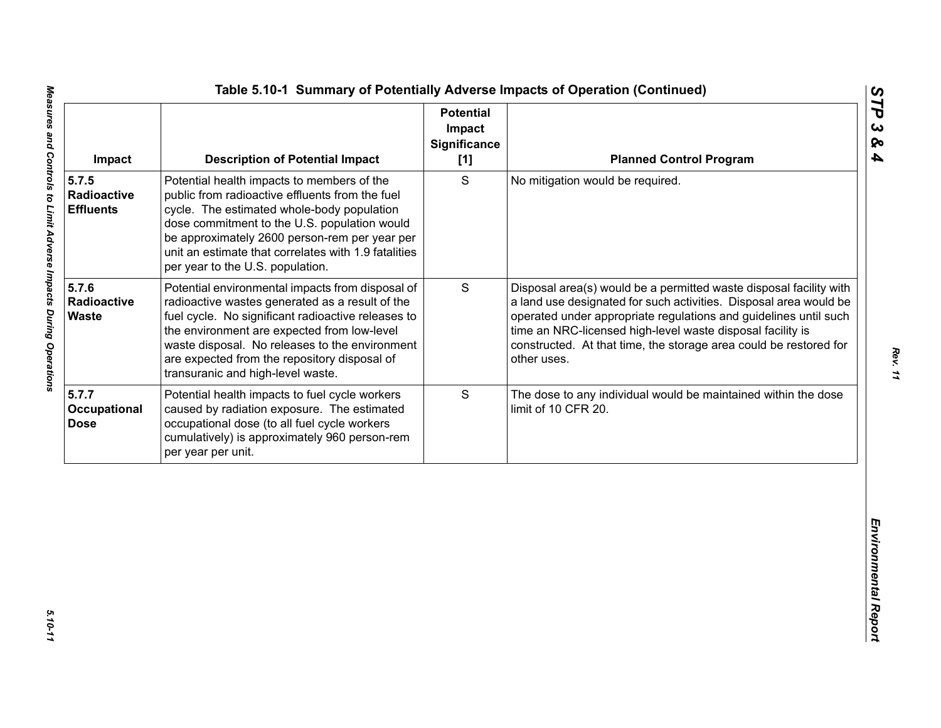| S<br>Potential health impacts to members of the<br>No mitigation would be required.<br>public from radioactive effluents from the fuel<br><b>Radioactive</b><br>cycle. The estimated whole-body population<br><b>Effluents</b><br>dose commitment to the U.S. population would<br>be approximately 2600 person-rem per year per<br>unit an estimate that correlates with 1.9 fatalities<br>per year to the U.S. population.<br>5.7.6<br>S<br>Potential environmental impacts from disposal of<br>Radioactive<br>radioactive wastes generated as a result of the<br><b>Waste</b><br>fuel cycle. No significant radioactive releases to<br>time an NRC-licensed high-level waste disposal facility is<br>the environment are expected from low-level<br>waste disposal. No releases to the environment<br>are expected from the repository disposal of<br>other uses.<br>transuranic and high-level waste.<br>S<br>Potential health impacts to fuel cycle workers<br>caused by radiation exposure. The estimated<br>limit of 10 CFR 20.<br>occupational dose (to all fuel cycle workers<br>cumulatively) is approximately 960 person-rem | Impact | <b>Description of Potential Impact</b> | <b>Potential</b><br>Impact<br><b>Significance</b><br>[1] | <b>Planned Control Program</b>                                                                                                                                                                                                                                                   |
|----------------------------------------------------------------------------------------------------------------------------------------------------------------------------------------------------------------------------------------------------------------------------------------------------------------------------------------------------------------------------------------------------------------------------------------------------------------------------------------------------------------------------------------------------------------------------------------------------------------------------------------------------------------------------------------------------------------------------------------------------------------------------------------------------------------------------------------------------------------------------------------------------------------------------------------------------------------------------------------------------------------------------------------------------------------------------------------------------------------------------------------|--------|----------------------------------------|----------------------------------------------------------|----------------------------------------------------------------------------------------------------------------------------------------------------------------------------------------------------------------------------------------------------------------------------------|
|                                                                                                                                                                                                                                                                                                                                                                                                                                                                                                                                                                                                                                                                                                                                                                                                                                                                                                                                                                                                                                                                                                                                        | 5.7.5  |                                        |                                                          |                                                                                                                                                                                                                                                                                  |
| 5.7.7<br>Occupational<br><b>Dose</b>                                                                                                                                                                                                                                                                                                                                                                                                                                                                                                                                                                                                                                                                                                                                                                                                                                                                                                                                                                                                                                                                                                   |        |                                        |                                                          | Disposal area(s) would be a permitted waste disposal facility with<br>a land use designated for such activities. Disposal area would be<br>operated under appropriate regulations and guidelines until such<br>constructed. At that time, the storage area could be restored for |
| per year per unit.                                                                                                                                                                                                                                                                                                                                                                                                                                                                                                                                                                                                                                                                                                                                                                                                                                                                                                                                                                                                                                                                                                                     |        |                                        |                                                          | The dose to any individual would be maintained within the dose                                                                                                                                                                                                                   |
|                                                                                                                                                                                                                                                                                                                                                                                                                                                                                                                                                                                                                                                                                                                                                                                                                                                                                                                                                                                                                                                                                                                                        |        |                                        |                                                          |                                                                                                                                                                                                                                                                                  |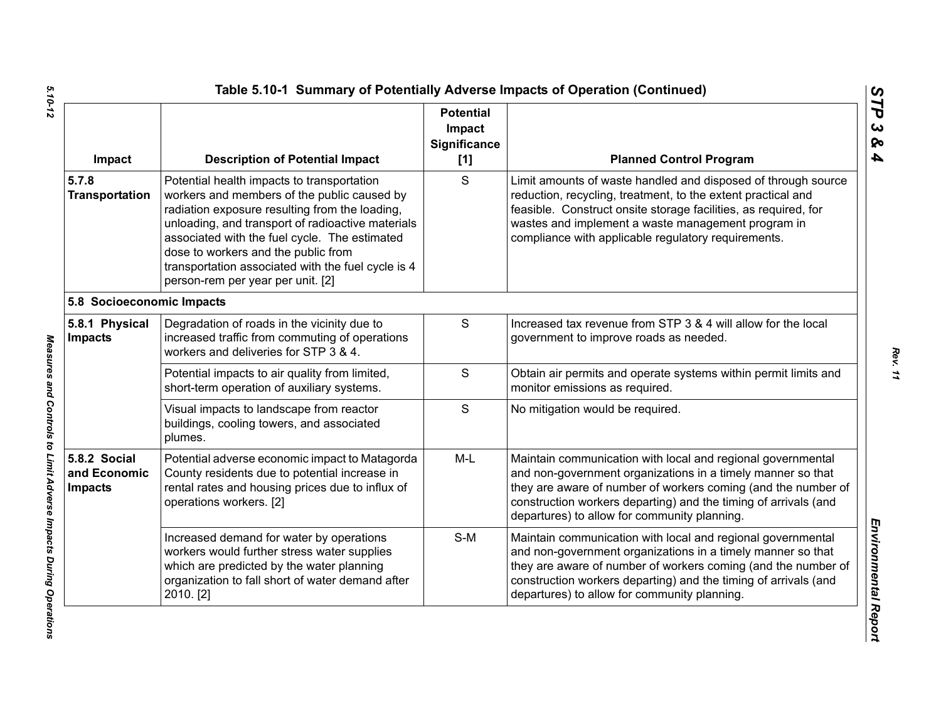| Impact                                         | <b>Description of Potential Impact</b>                                                                                                                                                                                                                                                                                                                                              | <b>Potential</b><br>Impact<br><b>Significance</b><br>[1] | <b>Planned Control Program</b>                                                                                                                                                                                                                                                                                 |
|------------------------------------------------|-------------------------------------------------------------------------------------------------------------------------------------------------------------------------------------------------------------------------------------------------------------------------------------------------------------------------------------------------------------------------------------|----------------------------------------------------------|----------------------------------------------------------------------------------------------------------------------------------------------------------------------------------------------------------------------------------------------------------------------------------------------------------------|
| 5.7.8<br><b>Transportation</b>                 | Potential health impacts to transportation<br>workers and members of the public caused by<br>radiation exposure resulting from the loading,<br>unloading, and transport of radioactive materials<br>associated with the fuel cycle. The estimated<br>dose to workers and the public from<br>transportation associated with the fuel cycle is 4<br>person-rem per year per unit. [2] | S                                                        | Limit amounts of waste handled and disposed of through source<br>reduction, recycling, treatment, to the extent practical and<br>feasible. Construct onsite storage facilities, as required, for<br>wastes and implement a waste management program in<br>compliance with applicable regulatory requirements.  |
| 5.8 Socioeconomic Impacts                      |                                                                                                                                                                                                                                                                                                                                                                                     |                                                          |                                                                                                                                                                                                                                                                                                                |
| 5.8.1 Physical<br><b>Impacts</b>               | Degradation of roads in the vicinity due to<br>increased traffic from commuting of operations<br>workers and deliveries for STP 3 & 4.                                                                                                                                                                                                                                              | $\mathbf S$                                              | Increased tax revenue from STP 3 & 4 will allow for the local<br>government to improve roads as needed.                                                                                                                                                                                                        |
|                                                | Potential impacts to air quality from limited,<br>short-term operation of auxiliary systems.                                                                                                                                                                                                                                                                                        | $\mathsf{S}$                                             | Obtain air permits and operate systems within permit limits and<br>monitor emissions as required.                                                                                                                                                                                                              |
|                                                | Visual impacts to landscape from reactor<br>buildings, cooling towers, and associated<br>plumes.                                                                                                                                                                                                                                                                                    | S                                                        | No mitigation would be required.                                                                                                                                                                                                                                                                               |
| 5.8.2 Social<br>and Economic<br><b>Impacts</b> | Potential adverse economic impact to Matagorda<br>County residents due to potential increase in<br>rental rates and housing prices due to influx of<br>operations workers. [2]                                                                                                                                                                                                      | $M-L$                                                    | Maintain communication with local and regional governmental<br>and non-government organizations in a timely manner so that<br>they are aware of number of workers coming (and the number of<br>construction workers departing) and the timing of arrivals (and<br>departures) to allow for community planning. |
|                                                | Increased demand for water by operations<br>workers would further stress water supplies<br>which are predicted by the water planning<br>organization to fall short of water demand after<br>2010. [2]                                                                                                                                                                               | $S-M$                                                    | Maintain communication with local and regional governmental<br>and non-government organizations in a timely manner so that<br>they are aware of number of workers coming (and the number of<br>construction workers departing) and the timing of arrivals (and<br>departures) to allow for community planning. |

Measures and Controls to Limit Adverse Impacts During Operations

*STP 3 & 4*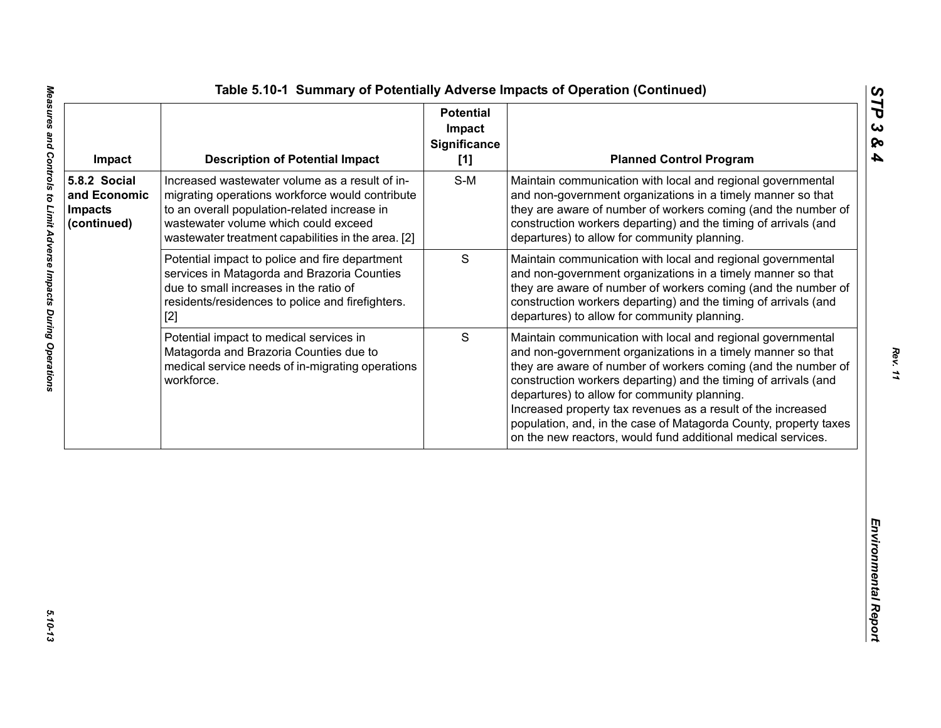| Impact                                                        | <b>Description of Potential Impact</b>                                                                                                                                                                                                          | <b>Potential</b><br>Impact<br><b>Significance</b><br>[1] | <b>Planned Control Program</b>                                                                                                                                                                                                                                                                                                                                                                                                                                                                                     |
|---------------------------------------------------------------|-------------------------------------------------------------------------------------------------------------------------------------------------------------------------------------------------------------------------------------------------|----------------------------------------------------------|--------------------------------------------------------------------------------------------------------------------------------------------------------------------------------------------------------------------------------------------------------------------------------------------------------------------------------------------------------------------------------------------------------------------------------------------------------------------------------------------------------------------|
| 5.8.2 Social<br>and Economic<br><b>Impacts</b><br>(continued) | Increased wastewater volume as a result of in-<br>migrating operations workforce would contribute<br>to an overall population-related increase in<br>wastewater volume which could exceed<br>wastewater treatment capabilities in the area. [2] | $S-M$                                                    | Maintain communication with local and regional governmental<br>and non-government organizations in a timely manner so that<br>they are aware of number of workers coming (and the number of<br>construction workers departing) and the timing of arrivals (and<br>departures) to allow for community planning.                                                                                                                                                                                                     |
|                                                               | Potential impact to police and fire department<br>services in Matagorda and Brazoria Counties<br>due to small increases in the ratio of<br>residents/residences to police and firefighters.<br>$[2]$                                            | $\mathbf S$                                              | Maintain communication with local and regional governmental<br>and non-government organizations in a timely manner so that<br>they are aware of number of workers coming (and the number of<br>construction workers departing) and the timing of arrivals (and<br>departures) to allow for community planning.                                                                                                                                                                                                     |
|                                                               | Potential impact to medical services in<br>Matagorda and Brazoria Counties due to<br>medical service needs of in-migrating operations<br>workforce.                                                                                             | S                                                        | Maintain communication with local and regional governmental<br>and non-government organizations in a timely manner so that<br>they are aware of number of workers coming (and the number of<br>construction workers departing) and the timing of arrivals (and<br>departures) to allow for community planning.<br>Increased property tax revenues as a result of the increased<br>population, and, in the case of Matagorda County, property taxes<br>on the new reactors, would fund additional medical services. |
|                                                               |                                                                                                                                                                                                                                                 |                                                          |                                                                                                                                                                                                                                                                                                                                                                                                                                                                                                                    |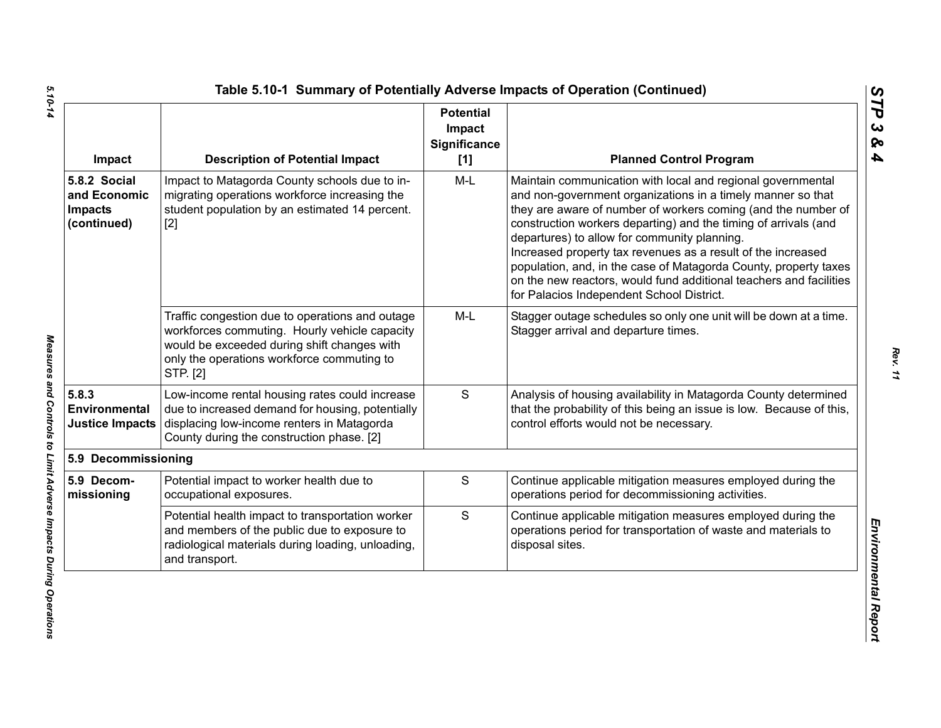| Impact                                                        | <b>Description of Potential Impact</b>                                                                                                                                                                    | <b>Potential</b><br>Impact<br>Significance<br>[1] | <b>Planned Control Program</b>                                                                                                                                                                                                                                                                                                                                                                                                                                                                                                                                        |
|---------------------------------------------------------------|-----------------------------------------------------------------------------------------------------------------------------------------------------------------------------------------------------------|---------------------------------------------------|-----------------------------------------------------------------------------------------------------------------------------------------------------------------------------------------------------------------------------------------------------------------------------------------------------------------------------------------------------------------------------------------------------------------------------------------------------------------------------------------------------------------------------------------------------------------------|
| 5.8.2 Social<br>and Economic<br><b>Impacts</b><br>(continued) | Impact to Matagorda County schools due to in-<br>migrating operations workforce increasing the<br>student population by an estimated 14 percent.<br>$[2]$                                                 | M-L                                               | Maintain communication with local and regional governmental<br>and non-government organizations in a timely manner so that<br>they are aware of number of workers coming (and the number of<br>construction workers departing) and the timing of arrivals (and<br>departures) to allow for community planning.<br>Increased property tax revenues as a result of the increased<br>population, and, in the case of Matagorda County, property taxes<br>on the new reactors, would fund additional teachers and facilities<br>for Palacios Independent School District. |
|                                                               | Traffic congestion due to operations and outage<br>workforces commuting. Hourly vehicle capacity<br>would be exceeded during shift changes with<br>only the operations workforce commuting to<br>STP. [2] | $M-L$                                             | Stagger outage schedules so only one unit will be down at a time.<br>Stagger arrival and departure times.                                                                                                                                                                                                                                                                                                                                                                                                                                                             |
| 5.8.3<br>Environmental<br><b>Justice Impacts</b>              | Low-income rental housing rates could increase<br>due to increased demand for housing, potentially<br>displacing low-income renters in Matagorda<br>County during the construction phase. [2]             | S                                                 | Analysis of housing availability in Matagorda County determined<br>that the probability of this being an issue is low. Because of this,<br>control efforts would not be necessary.                                                                                                                                                                                                                                                                                                                                                                                    |
| 5.9 Decommissioning                                           |                                                                                                                                                                                                           |                                                   |                                                                                                                                                                                                                                                                                                                                                                                                                                                                                                                                                                       |
| 5.9 Decom-<br>missioning                                      | Potential impact to worker health due to<br>occupational exposures.                                                                                                                                       | S                                                 | Continue applicable mitigation measures employed during the<br>operations period for decommissioning activities.                                                                                                                                                                                                                                                                                                                                                                                                                                                      |
|                                                               | Potential health impact to transportation worker<br>and members of the public due to exposure to<br>radiological materials during loading, unloading,<br>and transport.                                   | S                                                 | Continue applicable mitigation measures employed during the<br>operations period for transportation of waste and materials to<br>disposal sites.                                                                                                                                                                                                                                                                                                                                                                                                                      |

5.10-14 *5.10-14 Measures and Controls to Limit Adverse Impacts During Operations* 

Measures and Controls to Limit Adverse Impacts During Operations

*STP 3 & 4*